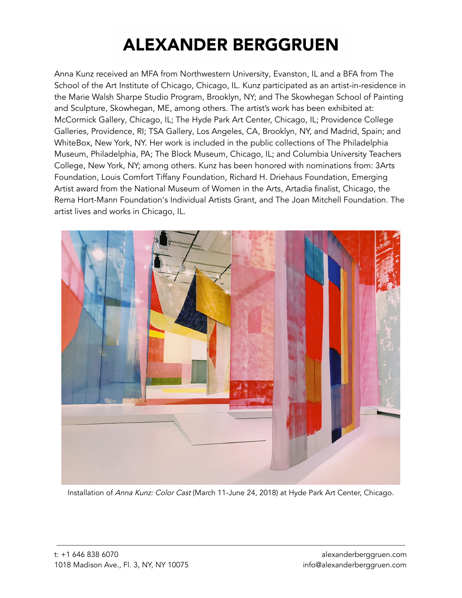Anna Kunz received an MFA from Northwestern University, Evanston, IL and a BFA from The School of the Art Institute of Chicago, Chicago, IL. Kunz participated as an artist-in-residence in the Marie Walsh Sharpe Studio Program, Brooklyn, NY; and The Skowhegan School of Painting and Sculpture, Skowhegan, ME, among others. The artist's work has been exhibited at: McCormick Gallery, Chicago, IL; The Hyde Park Art Center, Chicago, IL; Providence College Galleries, Providence, RI; TSA Gallery, Los Angeles, CA, Brooklyn, NY, and Madrid, Spain; and WhiteBox, New York, NY. Her work is included in the public collections of The Philadelphia Museum, Philadelphia, PA; The Block Museum, Chicago, IL; and Columbia University Teachers College, New York, NY; among others. Kunz has been honored with nominations from: 3Arts Foundation, Louis Comfort Tiffany Foundation, Richard H. Driehaus Foundation, Emerging Artist award from the National Museum of Women in the Arts, Artadia finalist, Chicago, the Rema Hort-Mann Foundation's Individual Artists Grant, and The Joan Mitchell Foundation. The artist lives and works in Chicago, IL.



Installation of Anna Kunz: Color Cast (March 11-June 24, 2018) at Hyde Park Art Center, Chicago.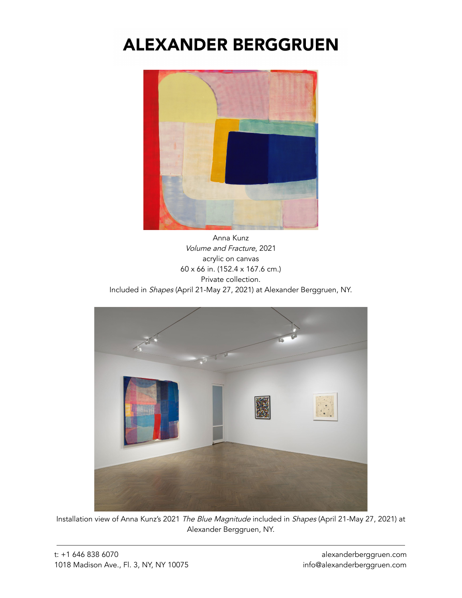

Anna Kunz Volume and Fracture, 2021 acrylic on canvas 60 x 66 in. (152.4 x 167.6 cm.) Private collection. Included in Shapes (April 21-May 27, 2021) at Alexander Berggruen, NY.



Installation view of Anna Kunz's 2021 The Blue Magnitude included in Shapes (April 21-May 27, 2021) at Alexander Berggruen, NY.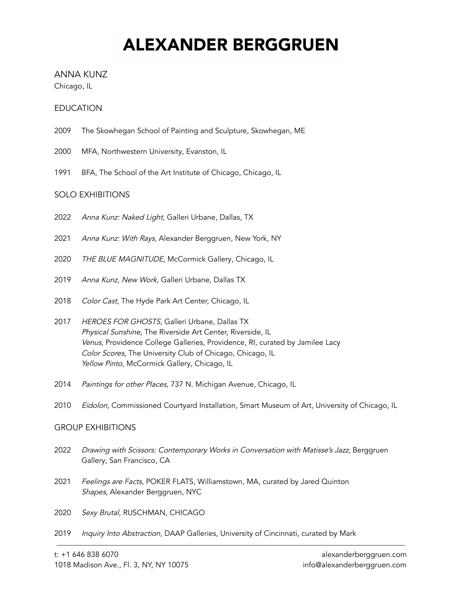### ANNA KUNZ

Chicago, IL

### EDUCATION

- 2009 The Skowhegan School of Painting and Sculpture, Skowhegan, ME
- 2000 MFA, Northwestern University, Evanston, IL
- 1991 BFA, The School of the Art Institute of Chicago, Chicago, IL

### SOLO EXHIBITIONS

- 2022 Anna Kunz: Naked Light, Galleri Urbane, Dallas, TX
- 2021 Anna Kunz: With Rays, Alexander Berggruen, New York, NY
- 2020 THE BLUE MAGNITUDE, McCormick Gallery, Chicago, IL
- 2019 Anna Kunz, New Work, Galleri Urbane, Dallas TX
- 2018 Color Cast, The Hyde Park Art Center, Chicago, IL
- 2017 HEROES FOR GHOSTS, Galleri Urbane, Dallas TX Physical Sunshine, The Riverside Art Center, Riverside, IL Venus, Providence College Galleries, Providence, RI, curated by Jamilee Lacy Color Scores, The University Club of Chicago, Chicago, IL Yellow Pinto, McCormick Gallery, Chicago, IL
- 2014 Paintings for other Places, 737 N. Michigan Avenue, Chicago, IL
- 2010 Eidolon, Commissioned Courtyard Installation, Smart Museum of Art, University of Chicago, IL

### GROUP EXHIBITIONS

- 2022 Drawing with Scissors: Contemporary Works in Conversation with Matisse's Jazz, Berggruen Gallery, San Francisco, CA
- 2021 Feelings are Facts, POKER FLATS, Williamstown, MA, curated by Jared Quinton Shapes, Alexander Berggruen, NYC
- 2020 Sexy Brutal, RUSCHMAN, CHICAGO
- 2019 Inquiry Into Abstraction, DAAP Galleries, University of Cincinnati, curated by Mark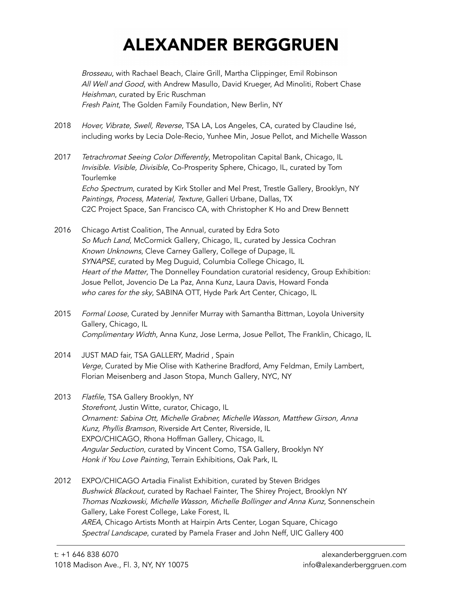Brosseau, with Rachael Beach, Claire Grill, Martha Clippinger, Emil Robinson All Well and Good, with Andrew Masullo, David Krueger, Ad Minoliti, Robert Chase Heishman, curated by Eric Ruschman Fresh Paint, The Golden Family Foundation, New Berlin, NY

- 2018 Hover, Vibrate, Swell, Reverse, TSA LA, Los Angeles, CA, curated by Claudine Isé, including works by Lecia Dole-Recio, Yunhee Min, Josue Pellot, and Michelle Wasson
- 2017 Tetrachromat Seeing Color Differently, Metropolitan Capital Bank, Chicago, IL Invisible. Visible, Divisible, Co-Prosperity Sphere, Chicago, IL, curated by Tom Tourlemke Echo Spectrum, curated by Kirk Stoller and Mel Prest, Trestle Gallery, Brooklyn, NY Paintings, Process, Material, Texture, Galleri Urbane, Dallas, TX C2C Project Space, San Francisco CA, with Christopher K Ho and Drew Bennett
- 2016 Chicago Artist Coalition, The Annual, curated by Edra Soto So Much Land, McCormick Gallery, Chicago, IL, curated by Jessica Cochran Known Unknowns, Cleve Carney Gallery, College of Dupage, IL SYNAPSE, curated by Meg Duguid, Columbia College Chicago, IL Heart of the Matter, The Donnelley Foundation curatorial residency, Group Exhibition: Josue Pellot, Jovencio De La Paz, Anna Kunz, Laura Davis, Howard Fonda who cares for the sky, SABINA OTT, Hyde Park Art Center, Chicago, IL
- 2015 Formal Loose, Curated by Jennifer Murray with Samantha Bittman, Loyola University Gallery, Chicago, IL Complimentary Width, Anna Kunz, Jose Lerma, Josue Pellot, The Franklin, Chicago, IL
- 2014 JUST MAD fair, TSA GALLERY, Madrid, Spain Verge, Curated by Mie Olise with Katherine Bradford, Amy Feldman, Emily Lambert, Florian Meisenberg and Jason Stopa, Munch Gallery, NYC, NY
- 2013 Flatfile, TSA Gallery Brooklyn, NY Storefront, Justin Witte, curator, Chicago, IL Ornament: Sabina Ott, Michelle Grabner, Michelle Wasson, Matthew Girson, Anna Kunz, Phyllis Bramson, Riverside Art Center, Riverside, IL EXPO/CHICAGO, Rhona Hoffman Gallery, Chicago, IL Angular Seduction, curated by Vincent Como, TSA Gallery, Brooklyn NY Honk if You Love Painting, Terrain Exhibitions, Oak Park, IL
- 2012 EXPO/CHICAGO Artadia Finalist Exhibition, curated by Steven Bridges Bushwick Blackout, curated by Rachael Fainter, The Shirey Project, Brooklyn NY Thomas Nozkowski, Michelle Wasson, Michelle Bollinger and Anna Kunz, Sonnenschein Gallery, Lake Forest College, Lake Forest, IL AREA, Chicago Artists Month at Hairpin Arts Center, Logan Square, Chicago Spectral Landscape, curated by Pamela Fraser and John Neff, UIC Gallery 400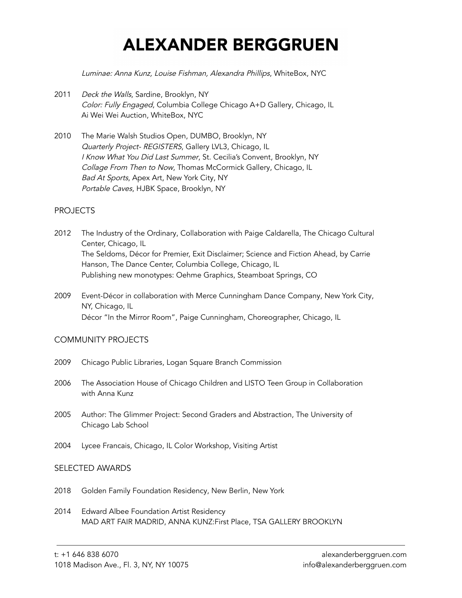Luminae: Anna Kunz, Louise Fishman, Alexandra Phillips, WhiteBox, NYC

- 2011 Deck the Walls, Sardine, Brooklyn, NY Color: Fully Engaged, Columbia College Chicago A+D Gallery, Chicago, IL Ai Wei Wei Auction, WhiteBox, NYC
- 2010 The Marie Walsh Studios Open, DUMBO, Brooklyn, NY Quarterly Project- REGISTERS, Gallery LVL3, Chicago, IL I Know What You Did Last Summer, St. Cecilia's Convent, Brooklyn, NY Collage From Then to Now, Thomas McCormick Gallery, Chicago, IL Bad At Sports, Apex Art, New York City, NY Portable Caves, HJBK Space, Brooklyn, NY

#### PROJECTS

- 2012 The Industry of the Ordinary, Collaboration with Paige Caldarella, The Chicago Cultural Center, Chicago, IL The Seldoms, Décor for Premier, Exit Disclaimer; Science and Fiction Ahead, by Carrie Hanson, The Dance Center, Columbia College, Chicago, IL Publishing new monotypes: Oehme Graphics, Steamboat Springs, CO
- 2009 Event-Décor in collaboration with Merce Cunningham Dance Company, New York City, NY, Chicago, IL Décor "In the Mirror Room", Paige Cunningham, Choreographer, Chicago, IL

### COMMUNITY PROJECTS

- 2009 Chicago Public Libraries, Logan Square Branch Commission
- 2006 The Association House of Chicago Children and LISTO Teen Group in Collaboration with Anna Kunz
- 2005 Author: The Glimmer Project: Second Graders and Abstraction, The University of Chicago Lab School
- 2004 Lycee Francais, Chicago, IL Color Workshop, Visiting Artist

#### SELECTED AWARDS

- 2018 Golden Family Foundation Residency, New Berlin, New York
- 2014 Edward Albee Foundation Artist Residency MAD ART FAIR MADRID, ANNA KUNZ:First Place, TSA GALLERY BROOKLYN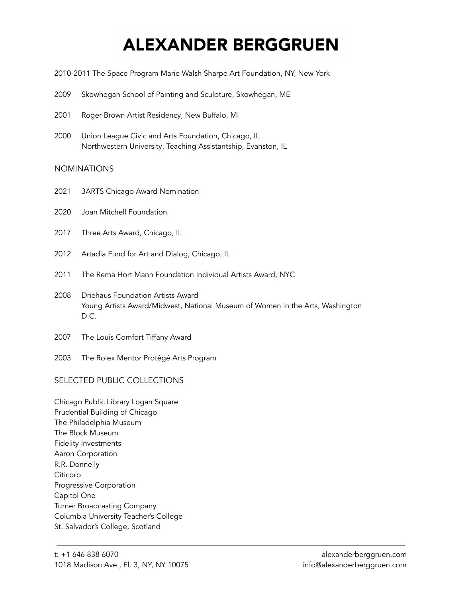- 2010-2011 The Space Program Marie Walsh Sharpe Art Foundation, NY, New York
- 2009 Skowhegan School of Painting and Sculpture, Skowhegan, ME
- 2001 Roger Brown Artist Residency, New Buffalo, MI
- 2000 Union League Civic and Arts Foundation, Chicago, IL Northwestern University, Teaching Assistantship, Evanston, IL

#### NOMINATIONS

- 2021 3ARTS Chicago Award Nomination
- 2020 Joan Mitchell Foundation
- 2017 Three Arts Award, Chicago, IL
- 2012 Artadia Fund for Art and Dialog, Chicago, IL
- 2011 The Rema Hort Mann Foundation Individual Artists Award, NYC
- 2008 Driehaus Foundation Artists Award Young Artists Award/Midwest, National Museum of Women in the Arts, Washington D.C.
- 2007 The Louis Comfort Tiffany Award
- 2003 The Rolex Mentor Protégé Arts Program

#### SELECTED PUBLIC COLLECTIONS

Chicago Public Library Logan Square Prudential Building of Chicago The Philadelphia Museum The Block Museum Fidelity Investments Aaron Corporation R.R. Donnelly Citicorp Progressive Corporation Capitol One Turner Broadcasting Company Columbia University Teacher's College St. Salvador's College, Scotland